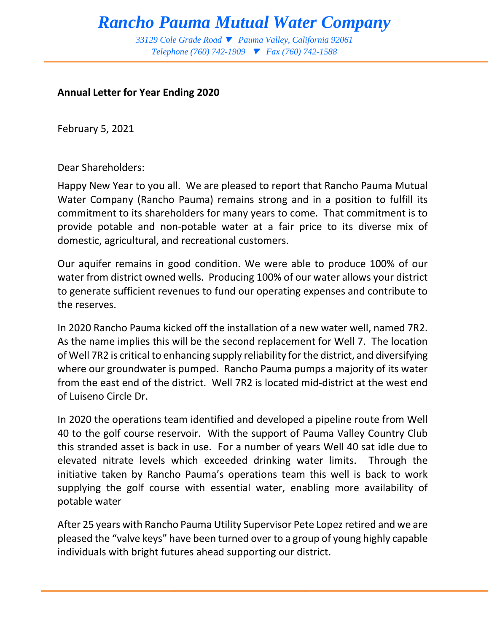# *Rancho Pauma Mutual Water Company*

*33129 Cole Grade Road Pauma Valley, California 92061 Telephone (760) 742-1909 Fax (760) 742-1588* 

#### **Annual Letter for Year Ending 2020**

February 5, 2021

Dear Shareholders:

Happy New Year to you all. We are pleased to report that Rancho Pauma Mutual Water Company (Rancho Pauma) remains strong and in a position to fulfill its commitment to its shareholders for many years to come. That commitment is to provide potable and non-potable water at a fair price to its diverse mix of domestic, agricultural, and recreational customers.

Our aquifer remains in good condition. We were able to produce 100% of our water from district owned wells. Producing 100% of our water allows your district to generate sufficient revenues to fund our operating expenses and contribute to the reserves.

In 2020 Rancho Pauma kicked off the installation of a new water well, named 7R2. As the name implies this will be the second replacement for Well 7. The location of Well 7R2 is critical to enhancing supply reliability for the district, and diversifying where our groundwater is pumped. Rancho Pauma pumps a majority of its water from the east end of the district. Well 7R2 is located mid-district at the west end of Luiseno Circle Dr.

In 2020 the operations team identified and developed a pipeline route from Well 40 to the golf course reservoir. With the support of Pauma Valley Country Club this stranded asset is back in use. For a number of years Well 40 sat idle due to elevated nitrate levels which exceeded drinking water limits. Through the initiative taken by Rancho Pauma's operations team this well is back to work supplying the golf course with essential water, enabling more availability of potable water

After 25 years with Rancho Pauma Utility Supervisor Pete Lopez retired and we are pleased the "valve keys" have been turned over to a group of young highly capable individuals with bright futures ahead supporting our district.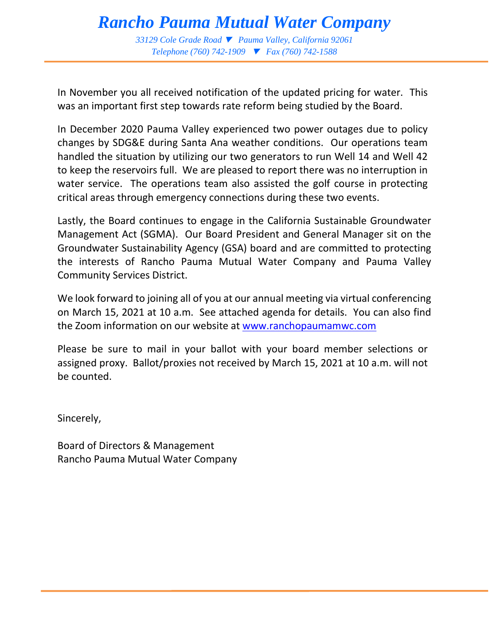# *Rancho Pauma Mutual Water Company*

*33129 Cole Grade Road Pauma Valley, California 92061 Telephone (760) 742-1909 Fax (760) 742-1588* 

In November you all received notification of the updated pricing for water. This was an important first step towards rate reform being studied by the Board.

In December 2020 Pauma Valley experienced two power outages due to policy changes by SDG&E during Santa Ana weather conditions. Our operations team handled the situation by utilizing our two generators to run Well 14 and Well 42 to keep the reservoirs full. We are pleased to report there was no interruption in water service. The operations team also assisted the golf course in protecting critical areas through emergency connections during these two events.

Lastly, the Board continues to engage in the California Sustainable Groundwater Management Act (SGMA). Our Board President and General Manager sit on the Groundwater Sustainability Agency (GSA) board and are committed to protecting the interests of Rancho Pauma Mutual Water Company and Pauma Valley Community Services District.

We look forward to joining all of you at our annual meeting via virtual conferencing on March 15, 2021 at 10 a.m. See attached agenda for details. You can also find the Zoom information on our website at [www.ranchopaumamwc.com](http://www.ranchopaumamwc.com/) 

Please be sure to mail in your ballot with your board member selections or assigned proxy. Ballot/proxies not received by March 15, 2021 at 10 a.m. will not be counted.

Sincerely,

Board of Directors & Management Rancho Pauma Mutual Water Company